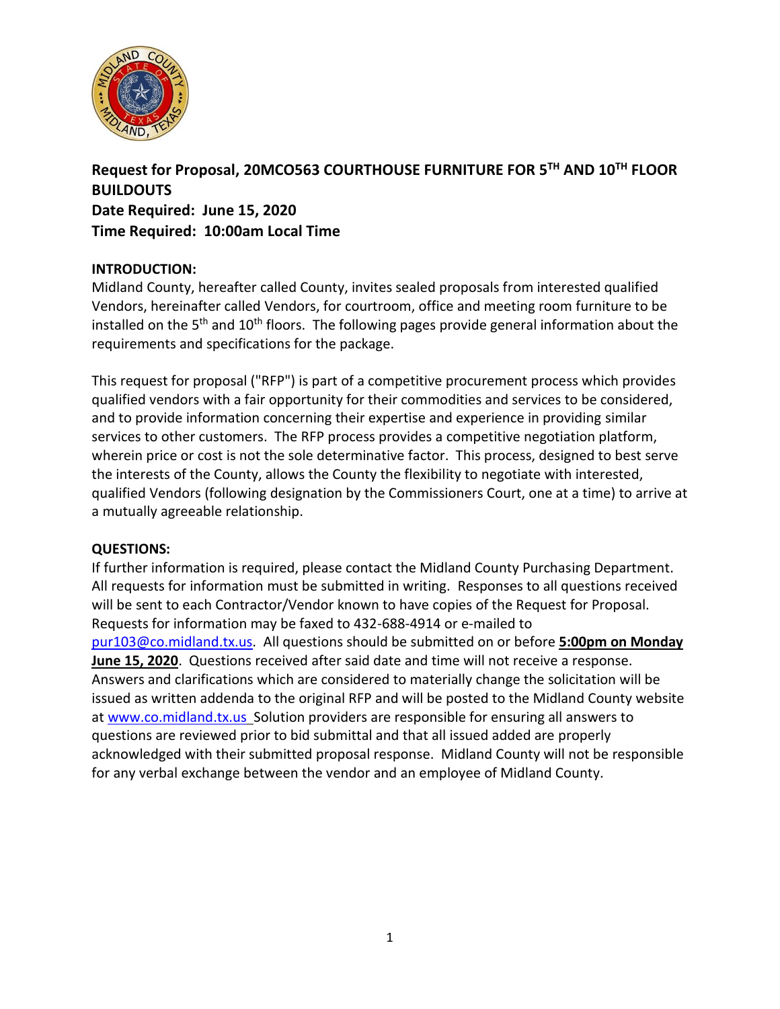

# **Request for Proposal, 20MCO563 COURTHOUSE FURNITURE FOR 5TH AND 10TH FLOOR BUILDOUTS Date Required: June 15, 2020 Time Required: 10:00am Local Time**

# **INTRODUCTION:**

Midland County, hereafter called County, invites sealed proposals from interested qualified Vendors, hereinafter called Vendors, for courtroom, office and meeting room furniture to be installed on the 5<sup>th</sup> and 10<sup>th</sup> floors. The following pages provide general information about the requirements and specifications for the package.

This request for proposal ("RFP") is part of a competitive procurement process which provides qualified vendors with a fair opportunity for their commodities and services to be considered, and to provide information concerning their expertise and experience in providing similar services to other customers. The RFP process provides a competitive negotiation platform, wherein price or cost is not the sole determinative factor. This process, designed to best serve the interests of the County, allows the County the flexibility to negotiate with interested, qualified Vendors (following designation by the Commissioners Court, one at a time) to arrive at a mutually agreeable relationship.

# **QUESTIONS:**

If further information is required, please contact the Midland County Purchasing Department. All requests for information must be submitted in writing. Responses to all questions received will be sent to each Contractor/Vendor known to have copies of the Request for Proposal. Requests for information may be faxed to 432-688-4914 or e-mailed to [pur103@co.midland.tx.us.](mailto:pur103@co.midland.tx.us) All questions should be submitted on or before **5:00pm on Monday June 15, 2020**. Questions received after said date and time will not receive a response. Answers and clarifications which are considered to materially change the solicitation will be issued as written addenda to the original RFP and will be posted to the Midland County website at [www.co.midland.tx.us](http://www.co.midland.tx.us/) Solution providers are responsible for ensuring all answers to questions are reviewed prior to bid submittal and that all issued added are properly acknowledged with their submitted proposal response. Midland County will not be responsible for any verbal exchange between the vendor and an employee of Midland County.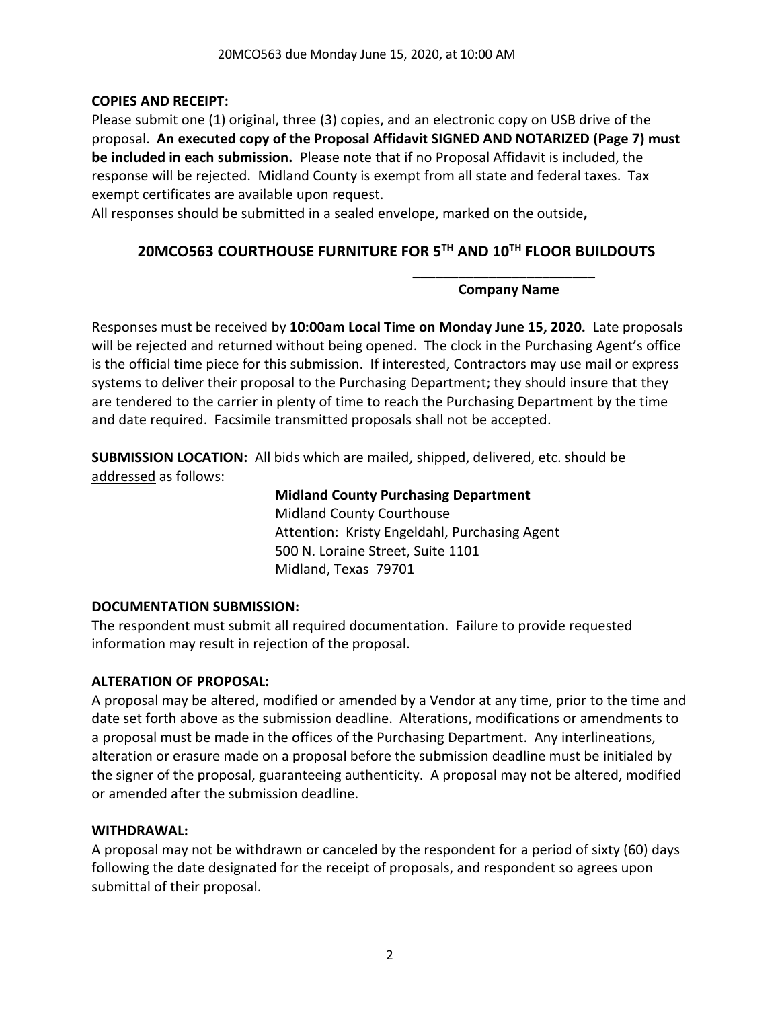#### **COPIES AND RECEIPT:**

Please submit one (1) original, three (3) copies, and an electronic copy on USB drive of the proposal. **An executed copy of the Proposal Affidavit SIGNED AND NOTARIZED (Page 7) must be included in each submission.** Please note that if no Proposal Affidavit is included, the response will be rejected. Midland County is exempt from all state and federal taxes. Tax exempt certificates are available upon request.

All responses should be submitted in a sealed envelope, marked on the outside**,** 

# **20MCO563 COURTHOUSE FURNITURE FOR 5TH AND 10TH FLOOR BUILDOUTS**

#### **\_\_\_\_\_\_\_\_\_\_\_\_\_\_\_\_\_\_\_\_\_\_\_\_ Company Name**

Responses must be received by **10:00am Local Time on Monday June 15, 2020.** Late proposals will be rejected and returned without being opened. The clock in the Purchasing Agent's office is the official time piece for this submission. If interested, Contractors may use mail or express systems to deliver their proposal to the Purchasing Department; they should insure that they are tendered to the carrier in plenty of time to reach the Purchasing Department by the time and date required. Facsimile transmitted proposals shall not be accepted.

**SUBMISSION LOCATION:** All bids which are mailed, shipped, delivered, etc. should be addressed as follows:

#### **Midland County Purchasing Department**

Midland County Courthouse Attention: Kristy Engeldahl, Purchasing Agent 500 N. Loraine Street, Suite 1101 Midland, Texas 79701

#### **DOCUMENTATION SUBMISSION:**

The respondent must submit all required documentation. Failure to provide requested information may result in rejection of the proposal.

#### **ALTERATION OF PROPOSAL:**

A proposal may be altered, modified or amended by a Vendor at any time, prior to the time and date set forth above as the submission deadline. Alterations, modifications or amendments to a proposal must be made in the offices of the Purchasing Department. Any interlineations, alteration or erasure made on a proposal before the submission deadline must be initialed by the signer of the proposal, guaranteeing authenticity. A proposal may not be altered, modified or amended after the submission deadline.

#### **WITHDRAWAL:**

A proposal may not be withdrawn or canceled by the respondent for a period of sixty (60) days following the date designated for the receipt of proposals, and respondent so agrees upon submittal of their proposal.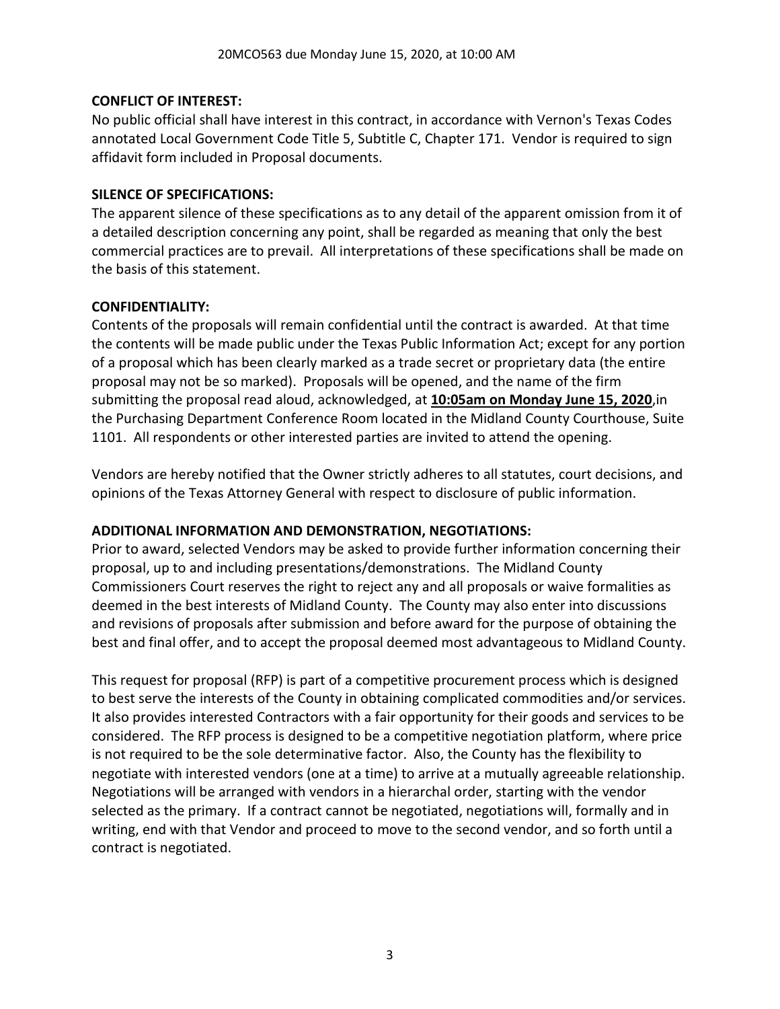#### **CONFLICT OF INTEREST:**

No public official shall have interest in this contract, in accordance with Vernon's Texas Codes annotated Local Government Code Title 5, Subtitle C, Chapter 171. Vendor is required to sign affidavit form included in Proposal documents.

#### **SILENCE OF SPECIFICATIONS:**

The apparent silence of these specifications as to any detail of the apparent omission from it of a detailed description concerning any point, shall be regarded as meaning that only the best commercial practices are to prevail. All interpretations of these specifications shall be made on the basis of this statement.

#### **CONFIDENTIALITY:**

Contents of the proposals will remain confidential until the contract is awarded. At that time the contents will be made public under the Texas Public Information Act; except for any portion of a proposal which has been clearly marked as a trade secret or proprietary data (the entire proposal may not be so marked). Proposals will be opened, and the name of the firm submitting the proposal read aloud, acknowledged, at **10:05am on Monday June 15, 2020**,in the Purchasing Department Conference Room located in the Midland County Courthouse, Suite 1101. All respondents or other interested parties are invited to attend the opening.

Vendors are hereby notified that the Owner strictly adheres to all statutes, court decisions, and opinions of the Texas Attorney General with respect to disclosure of public information.

# **ADDITIONAL INFORMATION AND DEMONSTRATION, NEGOTIATIONS:**

Prior to award, selected Vendors may be asked to provide further information concerning their proposal, up to and including presentations/demonstrations. The Midland County Commissioners Court reserves the right to reject any and all proposals or waive formalities as deemed in the best interests of Midland County. The County may also enter into discussions and revisions of proposals after submission and before award for the purpose of obtaining the best and final offer, and to accept the proposal deemed most advantageous to Midland County.

This request for proposal (RFP) is part of a competitive procurement process which is designed to best serve the interests of the County in obtaining complicated commodities and/or services. It also provides interested Contractors with a fair opportunity for their goods and services to be considered. The RFP process is designed to be a competitive negotiation platform, where price is not required to be the sole determinative factor. Also, the County has the flexibility to negotiate with interested vendors (one at a time) to arrive at a mutually agreeable relationship. Negotiations will be arranged with vendors in a hierarchal order, starting with the vendor selected as the primary. If a contract cannot be negotiated, negotiations will, formally and in writing, end with that Vendor and proceed to move to the second vendor, and so forth until a contract is negotiated.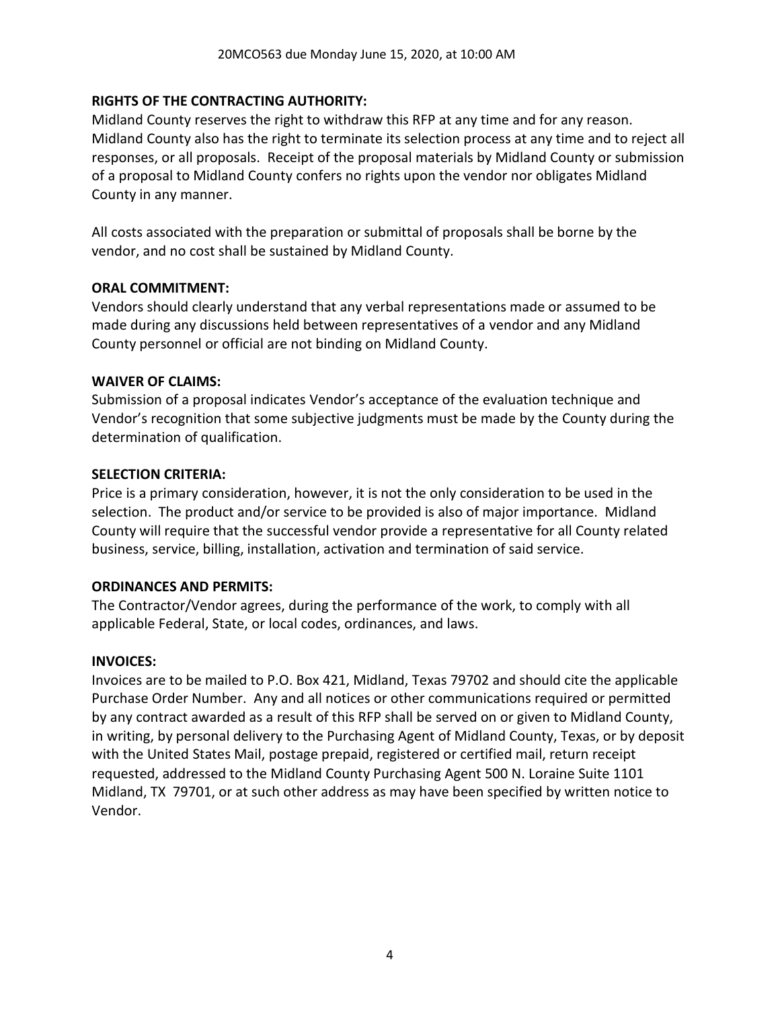#### **RIGHTS OF THE CONTRACTING AUTHORITY:**

Midland County reserves the right to withdraw this RFP at any time and for any reason. Midland County also has the right to terminate its selection process at any time and to reject all responses, or all proposals. Receipt of the proposal materials by Midland County or submission of a proposal to Midland County confers no rights upon the vendor nor obligates Midland County in any manner.

All costs associated with the preparation or submittal of proposals shall be borne by the vendor, and no cost shall be sustained by Midland County.

#### **ORAL COMMITMENT:**

Vendors should clearly understand that any verbal representations made or assumed to be made during any discussions held between representatives of a vendor and any Midland County personnel or official are not binding on Midland County.

#### **WAIVER OF CLAIMS:**

Submission of a proposal indicates Vendor's acceptance of the evaluation technique and Vendor's recognition that some subjective judgments must be made by the County during the determination of qualification.

#### **SELECTION CRITERIA:**

Price is a primary consideration, however, it is not the only consideration to be used in the selection. The product and/or service to be provided is also of major importance. Midland County will require that the successful vendor provide a representative for all County related business, service, billing, installation, activation and termination of said service.

#### **ORDINANCES AND PERMITS:**

The Contractor/Vendor agrees, during the performance of the work, to comply with all applicable Federal, State, or local codes, ordinances, and laws.

#### **INVOICES:**

Invoices are to be mailed to P.O. Box 421, Midland, Texas 79702 and should cite the applicable Purchase Order Number. Any and all notices or other communications required or permitted by any contract awarded as a result of this RFP shall be served on or given to Midland County, in writing, by personal delivery to the Purchasing Agent of Midland County, Texas, or by deposit with the United States Mail, postage prepaid, registered or certified mail, return receipt requested, addressed to the Midland County Purchasing Agent 500 N. Loraine Suite 1101 Midland, TX 79701, or at such other address as may have been specified by written notice to Vendor.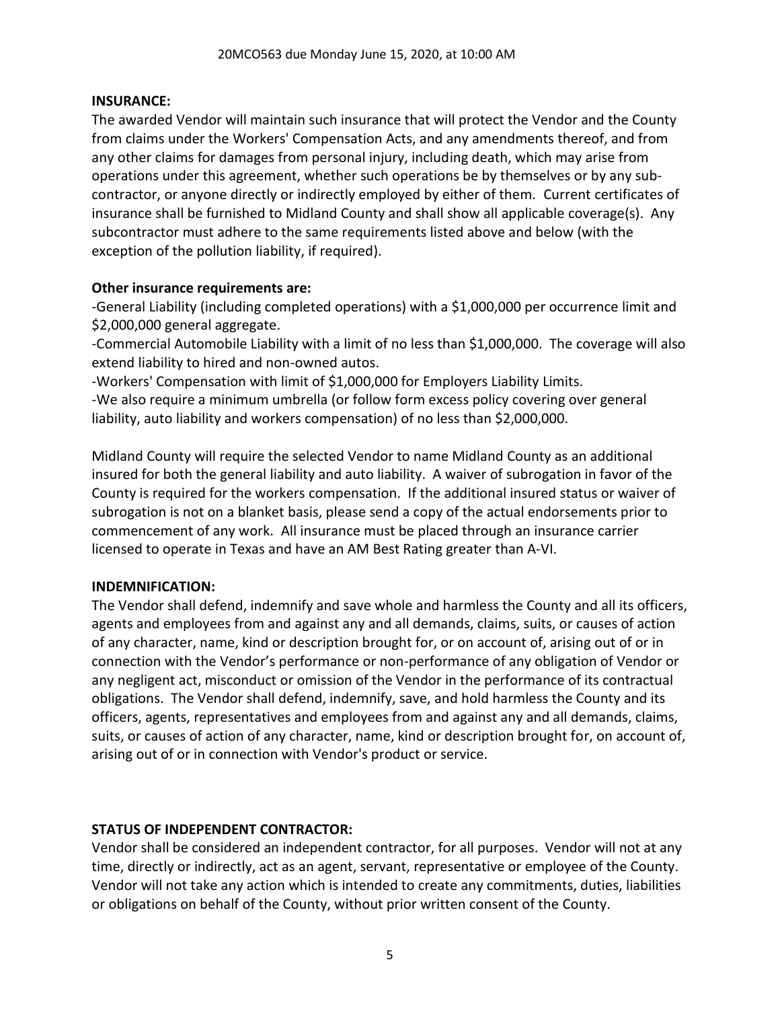#### **INSURANCE:**

The awarded Vendor will maintain such insurance that will protect the Vendor and the County from claims under the Workers' Compensation Acts, and any amendments thereof, and from any other claims for damages from personal injury, including death, which may arise from operations under this agreement, whether such operations be by themselves or by any subcontractor, or anyone directly or indirectly employed by either of them. Current certificates of insurance shall be furnished to Midland County and shall show all applicable coverage(s). Any subcontractor must adhere to the same requirements listed above and below (with the exception of the pollution liability, if required).

#### **Other insurance requirements are:**

-General Liability (including completed operations) with a \$1,000,000 per occurrence limit and \$2,000,000 general aggregate.

-Commercial Automobile Liability with a limit of no less than \$1,000,000. The coverage will also extend liability to hired and non-owned autos.

-Workers' Compensation with limit of \$1,000,000 for Employers Liability Limits.

-We also require a minimum umbrella (or follow form excess policy covering over general liability, auto liability and workers compensation) of no less than \$2,000,000.

Midland County will require the selected Vendor to name Midland County as an additional insured for both the general liability and auto liability. A waiver of subrogation in favor of the County is required for the workers compensation. If the additional insured status or waiver of subrogation is not on a blanket basis, please send a copy of the actual endorsements prior to commencement of any work. All insurance must be placed through an insurance carrier licensed to operate in Texas and have an AM Best Rating greater than A-VI.

#### **INDEMNIFICATION:**

The Vendor shall defend, indemnify and save whole and harmless the County and all its officers, agents and employees from and against any and all demands, claims, suits, or causes of action of any character, name, kind or description brought for, or on account of, arising out of or in connection with the Vendor's performance or non-performance of any obligation of Vendor or any negligent act, misconduct or omission of the Vendor in the performance of its contractual obligations. The Vendor shall defend, indemnify, save, and hold harmless the County and its officers, agents, representatives and employees from and against any and all demands, claims, suits, or causes of action of any character, name, kind or description brought for, on account of, arising out of or in connection with Vendor's product or service.

#### **STATUS OF INDEPENDENT CONTRACTOR:**

Vendor shall be considered an independent contractor, for all purposes. Vendor will not at any time, directly or indirectly, act as an agent, servant, representative or employee of the County. Vendor will not take any action which is intended to create any commitments, duties, liabilities or obligations on behalf of the County, without prior written consent of the County.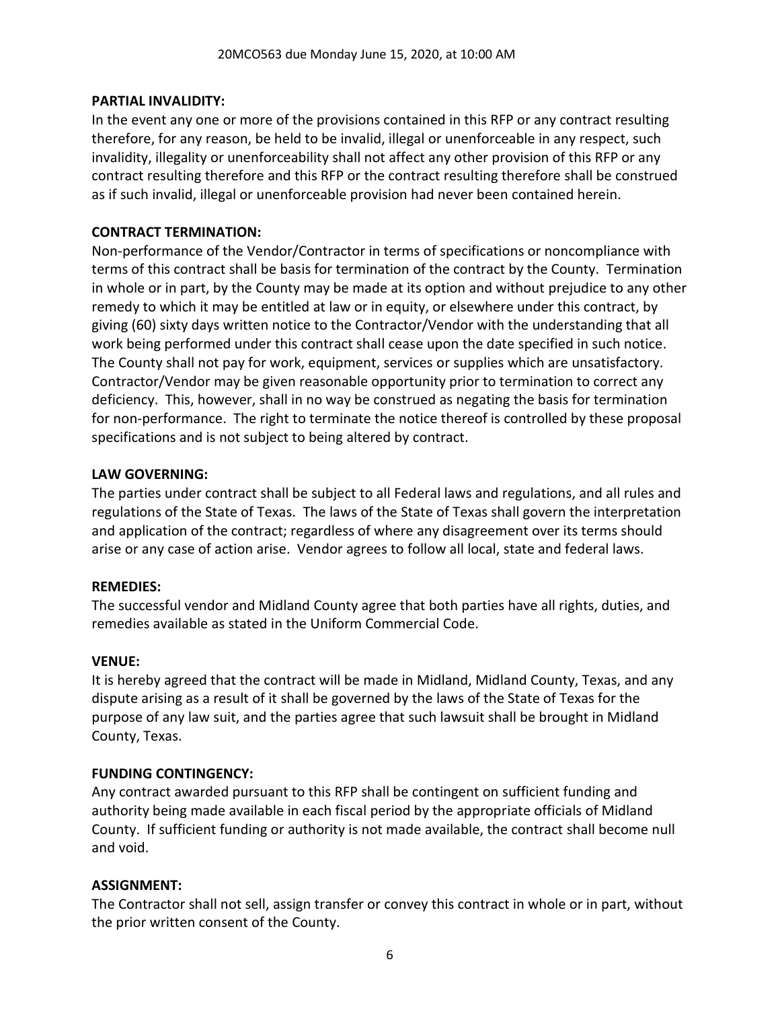#### **PARTIAL INVALIDITY:**

In the event any one or more of the provisions contained in this RFP or any contract resulting therefore, for any reason, be held to be invalid, illegal or unenforceable in any respect, such invalidity, illegality or unenforceability shall not affect any other provision of this RFP or any contract resulting therefore and this RFP or the contract resulting therefore shall be construed as if such invalid, illegal or unenforceable provision had never been contained herein.

### **CONTRACT TERMINATION:**

Non-performance of the Vendor/Contractor in terms of specifications or noncompliance with terms of this contract shall be basis for termination of the contract by the County. Termination in whole or in part, by the County may be made at its option and without prejudice to any other remedy to which it may be entitled at law or in equity, or elsewhere under this contract, by giving (60) sixty days written notice to the Contractor/Vendor with the understanding that all work being performed under this contract shall cease upon the date specified in such notice. The County shall not pay for work, equipment, services or supplies which are unsatisfactory. Contractor/Vendor may be given reasonable opportunity prior to termination to correct any deficiency. This, however, shall in no way be construed as negating the basis for termination for non-performance. The right to terminate the notice thereof is controlled by these proposal specifications and is not subject to being altered by contract.

#### **LAW GOVERNING:**

The parties under contract shall be subject to all Federal laws and regulations, and all rules and regulations of the State of Texas. The laws of the State of Texas shall govern the interpretation and application of the contract; regardless of where any disagreement over its terms should arise or any case of action arise. Vendor agrees to follow all local, state and federal laws.

#### **REMEDIES:**

The successful vendor and Midland County agree that both parties have all rights, duties, and remedies available as stated in the Uniform Commercial Code.

# **VENUE:**

It is hereby agreed that the contract will be made in Midland, Midland County, Texas, and any dispute arising as a result of it shall be governed by the laws of the State of Texas for the purpose of any law suit, and the parties agree that such lawsuit shall be brought in Midland County, Texas.

# **FUNDING CONTINGENCY:**

Any contract awarded pursuant to this RFP shall be contingent on sufficient funding and authority being made available in each fiscal period by the appropriate officials of Midland County. If sufficient funding or authority is not made available, the contract shall become null and void.

# **ASSIGNMENT:**

The Contractor shall not sell, assign transfer or convey this contract in whole or in part, without the prior written consent of the County.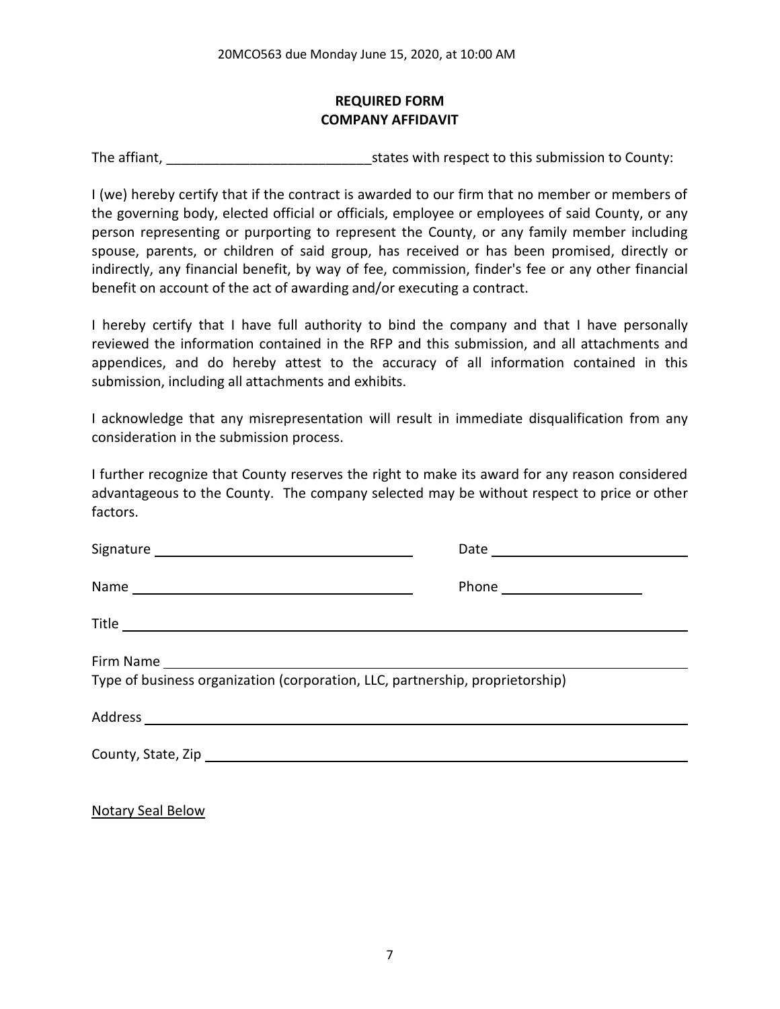# **REQUIRED FORM COMPANY AFFIDAVIT**

The affiant, The affiant, The affiant,  $\frac{1}{2}$  is tates with respect to this submission to County:

I (we) hereby certify that if the contract is awarded to our firm that no member or members of the governing body, elected official or officials, employee or employees of said County, or any person representing or purporting to represent the County, or any family member including spouse, parents, or children of said group, has received or has been promised, directly or indirectly, any financial benefit, by way of fee, commission, finder's fee or any other financial benefit on account of the act of awarding and/or executing a contract.

I hereby certify that I have full authority to bind the company and that I have personally reviewed the information contained in the RFP and this submission, and all attachments and appendices, and do hereby attest to the accuracy of all information contained in this submission, including all attachments and exhibits.

I acknowledge that any misrepresentation will result in immediate disqualification from any consideration in the submission process.

I further recognize that County reserves the right to make its award for any reason considered advantageous to the County. The company selected may be without respect to price or other factors.

| Type of business organization (corporation, LLC, partnership, proprietorship) |  |
|-------------------------------------------------------------------------------|--|

Notary Seal Below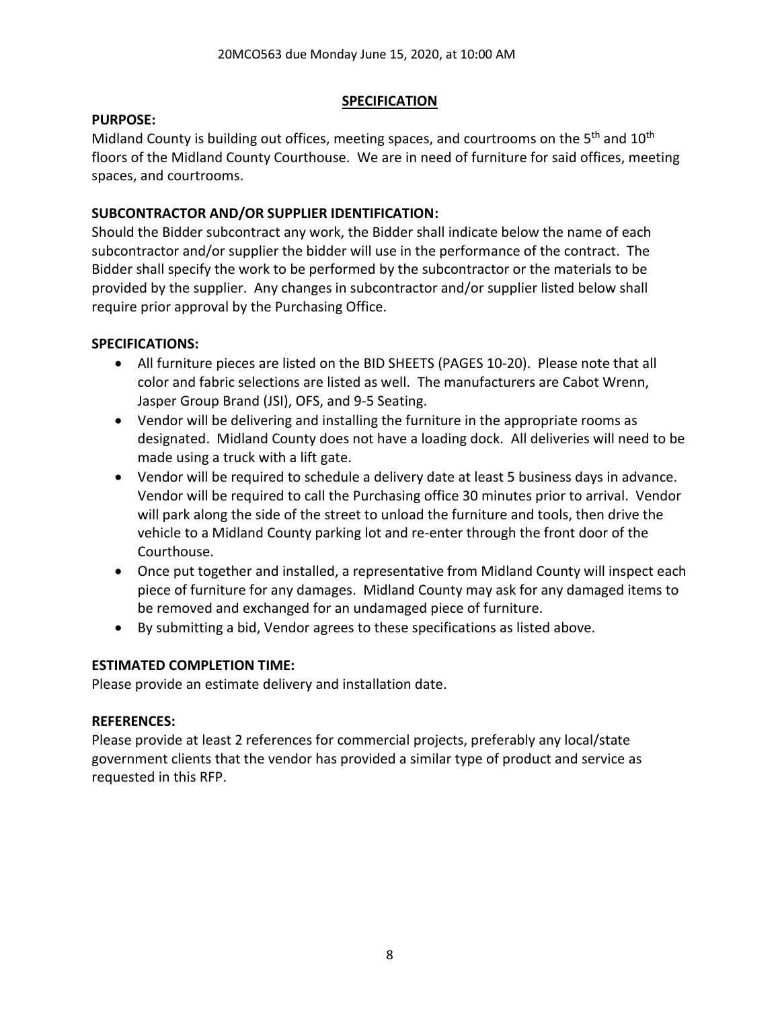#### **SPECIFICATION**

#### **PURPOSE:**

Midland County is building out offices, meeting spaces, and courtrooms on the 5<sup>th</sup> and 10<sup>th</sup> floors of the Midland County Courthouse. We are in need of furniture for said offices, meeting spaces, and courtrooms.

# **SUBCONTRACTOR AND/OR SUPPLIER IDENTIFICATION:**

Should the Bidder subcontract any work, the Bidder shall indicate below the name of each subcontractor and/or supplier the bidder will use in the performance of the contract. The Bidder shall specify the work to be performed by the subcontractor or the materials to be provided by the supplier. Any changes in subcontractor and/or supplier listed below shall require prior approval by the Purchasing Office.

# **SPECIFICATIONS:**

- All furniture pieces are listed on the BID SHEETS (PAGES 10-20). Please note that all color and fabric selections are listed as well. The manufacturers are Cabot Wrenn, Jasper Group Brand (JSI), OFS, and 9-5 Seating.
- Vendor will be delivering and installing the furniture in the appropriate rooms as designated. Midland County does not have a loading dock. All deliveries will need to be made using a truck with a lift gate.
- Vendor will be required to schedule a delivery date at least 5 business days in advance. Vendor will be required to call the Purchasing office 30 minutes prior to arrival. Vendor will park along the side of the street to unload the furniture and tools, then drive the vehicle to a Midland County parking lot and re-enter through the front door of the Courthouse.
- Once put together and installed, a representative from Midland County will inspect each piece of furniture for any damages. Midland County may ask for any damaged items to be removed and exchanged for an undamaged piece of furniture.
- By submitting a bid, Vendor agrees to these specifications as listed above.

# **ESTIMATED COMPLETION TIME:**

Please provide an estimate delivery and installation date.

# **REFERENCES:**

Please provide at least 2 references for commercial projects, preferably any local/state government clients that the vendor has provided a similar type of product and service as requested in this RFP.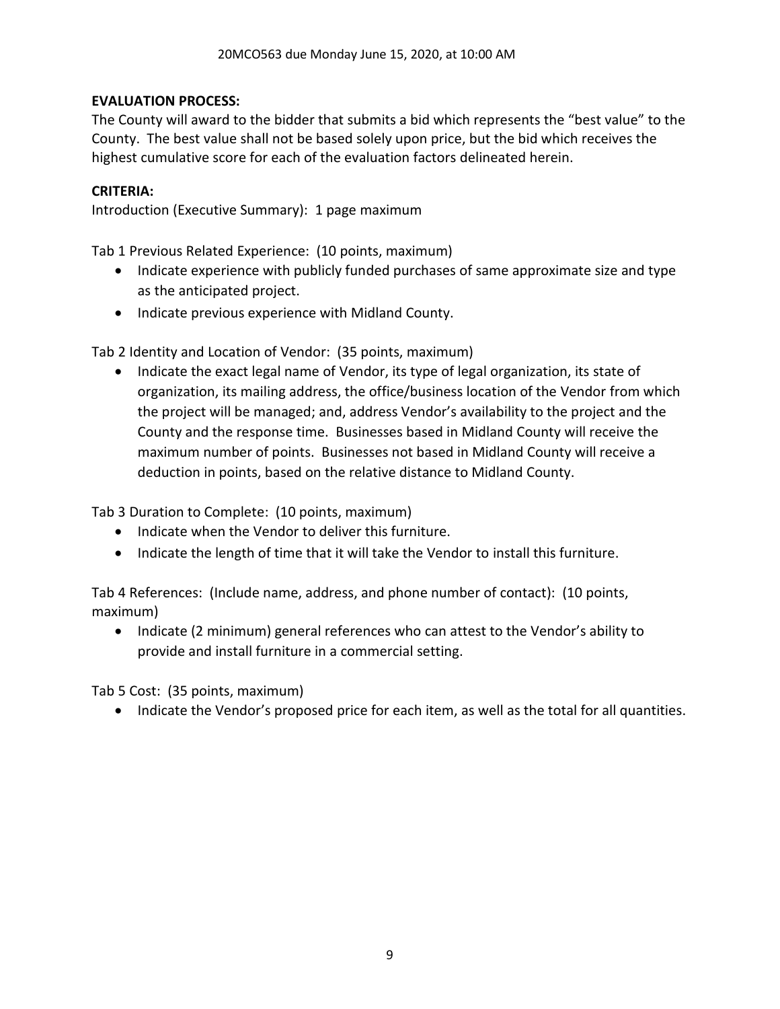# **EVALUATION PROCESS:**

The County will award to the bidder that submits a bid which represents the "best value" to the County. The best value shall not be based solely upon price, but the bid which receives the highest cumulative score for each of the evaluation factors delineated herein.

# **CRITERIA:**

Introduction (Executive Summary): 1 page maximum

Tab 1 Previous Related Experience: (10 points, maximum)

- Indicate experience with publicly funded purchases of same approximate size and type as the anticipated project.
- Indicate previous experience with Midland County.

Tab 2 Identity and Location of Vendor: (35 points, maximum)

• Indicate the exact legal name of Vendor, its type of legal organization, its state of organization, its mailing address, the office/business location of the Vendor from which the project will be managed; and, address Vendor's availability to the project and the County and the response time. Businesses based in Midland County will receive the maximum number of points. Businesses not based in Midland County will receive a deduction in points, based on the relative distance to Midland County.

Tab 3 Duration to Complete: (10 points, maximum)

- Indicate when the Vendor to deliver this furniture.
- Indicate the length of time that it will take the Vendor to install this furniture.

Tab 4 References: (Include name, address, and phone number of contact): (10 points, maximum)

• Indicate (2 minimum) general references who can attest to the Vendor's ability to provide and install furniture in a commercial setting.

Tab 5 Cost: (35 points, maximum)

• Indicate the Vendor's proposed price for each item, as well as the total for all quantities.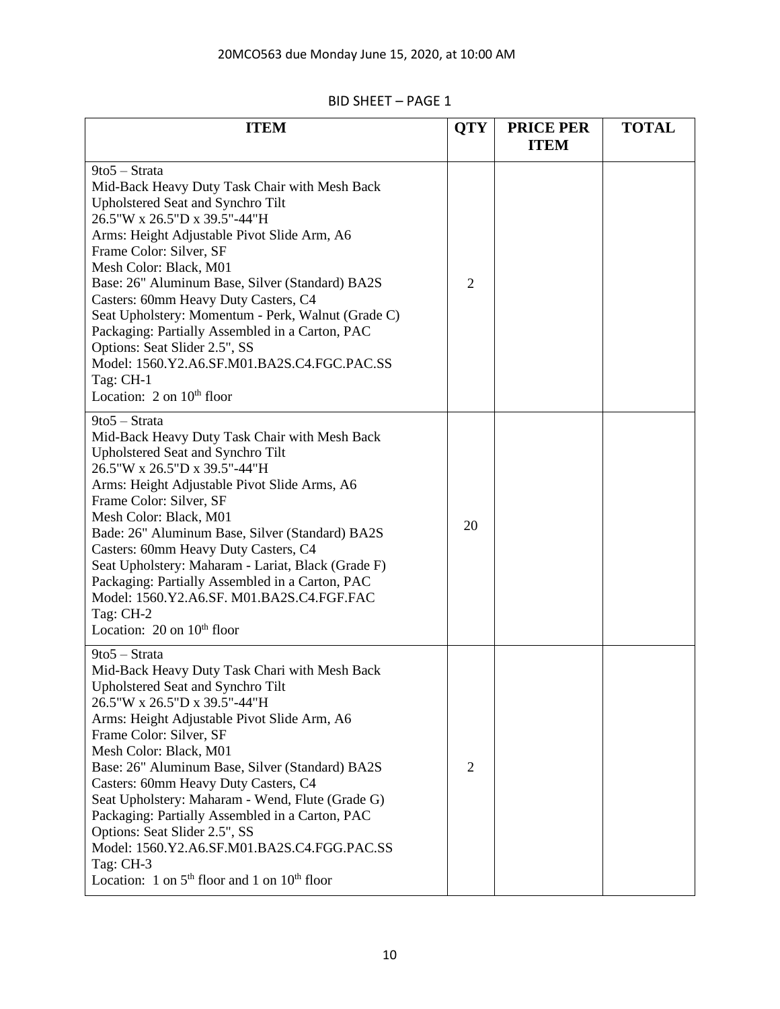| <b>ITEM</b>                                                                                                                                                                                                                                                                                                                                                                                                                                                                                                                                                                                | <b>QTY</b>     | <b>PRICE PER</b><br><b>ITEM</b> | <b>TOTAL</b> |
|--------------------------------------------------------------------------------------------------------------------------------------------------------------------------------------------------------------------------------------------------------------------------------------------------------------------------------------------------------------------------------------------------------------------------------------------------------------------------------------------------------------------------------------------------------------------------------------------|----------------|---------------------------------|--------------|
| 9to5 - Strata<br>Mid-Back Heavy Duty Task Chair with Mesh Back<br>Upholstered Seat and Synchro Tilt<br>26.5"W x 26.5"D x 39.5"-44"H<br>Arms: Height Adjustable Pivot Slide Arm, A6<br>Frame Color: Silver, SF<br>Mesh Color: Black, M01<br>Base: 26" Aluminum Base, Silver (Standard) BA2S<br>Casters: 60mm Heavy Duty Casters, C4<br>Seat Upholstery: Momentum - Perk, Walnut (Grade C)<br>Packaging: Partially Assembled in a Carton, PAC<br>Options: Seat Slider 2.5", SS<br>Model: 1560.Y2.A6.SF.M01.BA2S.C4.FGC.PAC.SS<br>Tag: CH-1<br>Location: $2$ on $10th$ floor                  | $\overline{2}$ |                                 |              |
| 9to5 - Strata<br>Mid-Back Heavy Duty Task Chair with Mesh Back<br>Upholstered Seat and Synchro Tilt<br>26.5"W x 26.5"D x 39.5"-44"H<br>Arms: Height Adjustable Pivot Slide Arms, A6<br>Frame Color: Silver, SF<br>Mesh Color: Black, M01<br>Bade: 26" Aluminum Base, Silver (Standard) BA2S<br>Casters: 60mm Heavy Duty Casters, C4<br>Seat Upholstery: Maharam - Lariat, Black (Grade F)<br>Packaging: Partially Assembled in a Carton, PAC<br>Model: 1560.Y2.A6.SF. M01.BA2S.C4.FGF.FAC<br>Tag: CH-2<br>Location: $20$ on $10th$ floor                                                   | 20             |                                 |              |
| 9to5 - Strata<br>Mid-Back Heavy Duty Task Chari with Mesh Back<br>Upholstered Seat and Synchro Tilt<br>26.5"W x 26.5"D x 39.5"-44"H<br>Arms: Height Adjustable Pivot Slide Arm, A6<br>Frame Color: Silver, SF<br>Mesh Color: Black, M01<br>Base: 26" Aluminum Base, Silver (Standard) BA2S<br>Casters: 60mm Heavy Duty Casters, C4<br>Seat Upholstery: Maharam - Wend, Flute (Grade G)<br>Packaging: Partially Assembled in a Carton, PAC<br>Options: Seat Slider 2.5", SS<br>Model: 1560.Y2.A6.SF.M01.BA2S.C4.FGG.PAC.SS<br>Tag: CH-3<br>Location: 1 on $5th$ floor and 1 on $10th$ floor | $\overline{2}$ |                                 |              |

# BID SHEET – PAGE 1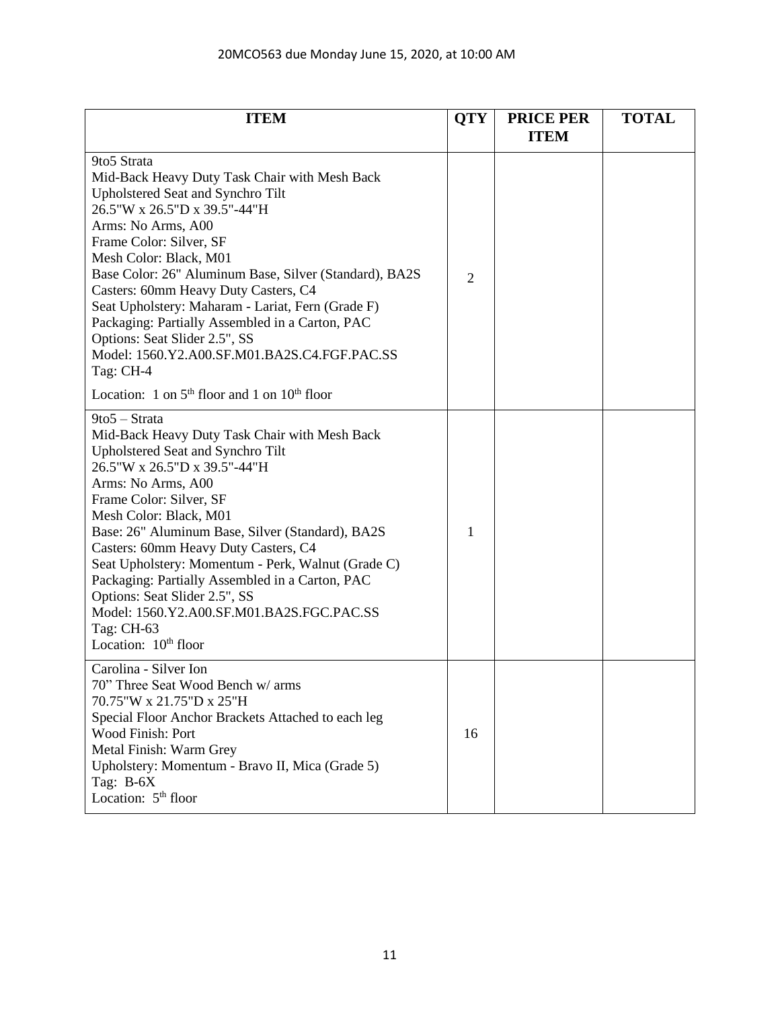| <b>ITEM</b>                                                                                                                                                                                                                                                                                                                                                                                                                                                                                                                                                              | <b>QTY</b>     | <b>PRICE PER</b><br><b>ITEM</b> | <b>TOTAL</b> |
|--------------------------------------------------------------------------------------------------------------------------------------------------------------------------------------------------------------------------------------------------------------------------------------------------------------------------------------------------------------------------------------------------------------------------------------------------------------------------------------------------------------------------------------------------------------------------|----------------|---------------------------------|--------------|
| 9to5 Strata<br>Mid-Back Heavy Duty Task Chair with Mesh Back<br>Upholstered Seat and Synchro Tilt<br>26.5"W x 26.5"D x 39.5"-44"H<br>Arms: No Arms, A00<br>Frame Color: Silver, SF<br>Mesh Color: Black, M01<br>Base Color: 26" Aluminum Base, Silver (Standard), BA2S<br>Casters: 60mm Heavy Duty Casters, C4<br>Seat Upholstery: Maharam - Lariat, Fern (Grade F)<br>Packaging: Partially Assembled in a Carton, PAC<br>Options: Seat Slider 2.5", SS<br>Model: 1560.Y2.A00.SF.M01.BA2S.C4.FGF.PAC.SS<br>Tag: CH-4<br>Location: 1 on $5th$ floor and 1 on $10th$ floor | $\overline{2}$ |                                 |              |
| 9to5 - Strata<br>Mid-Back Heavy Duty Task Chair with Mesh Back<br>Upholstered Seat and Synchro Tilt<br>26.5"W x 26.5"D x 39.5"-44"H<br>Arms: No Arms, A00<br>Frame Color: Silver, SF<br>Mesh Color: Black, M01<br>Base: 26" Aluminum Base, Silver (Standard), BA2S<br>Casters: 60mm Heavy Duty Casters, C4<br>Seat Upholstery: Momentum - Perk, Walnut (Grade C)<br>Packaging: Partially Assembled in a Carton, PAC<br>Options: Seat Slider 2.5", SS<br>Model: 1560.Y2.A00.SF.M01.BA2S.FGC.PAC.SS<br>Tag: CH-63<br>Location: $10th$ floor                                | 1              |                                 |              |
| Carolina - Silver Ion<br>70" Three Seat Wood Bench w/ arms<br>70.75"W x 21.75"D x 25"H<br>Special Floor Anchor Brackets Attached to each leg<br>Wood Finish: Port<br>Metal Finish: Warm Grey<br>Upholstery: Momentum - Bravo II, Mica (Grade 5)<br>Tag: B-6X<br>Location: 5 <sup>th</sup> floor                                                                                                                                                                                                                                                                          | 16             |                                 |              |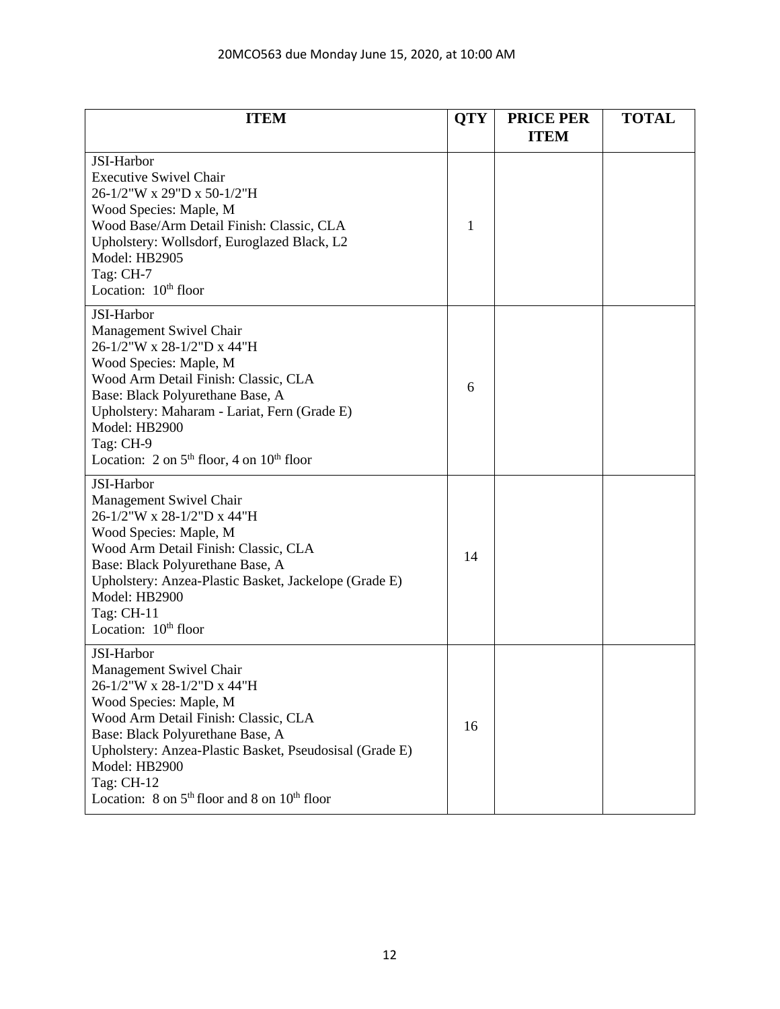| <b>ITEM</b>                                                                                                                                                                                                                                                                                                                                                   | <b>QTY</b> | <b>PRICE PER</b><br><b>ITEM</b> | <b>TOTAL</b> |
|---------------------------------------------------------------------------------------------------------------------------------------------------------------------------------------------------------------------------------------------------------------------------------------------------------------------------------------------------------------|------------|---------------------------------|--------------|
| JSI-Harbor<br><b>Executive Swivel Chair</b><br>26-1/2"W x 29"D x 50-1/2"H<br>Wood Species: Maple, M<br>Wood Base/Arm Detail Finish: Classic, CLA<br>Upholstery: Wollsdorf, Euroglazed Black, L2<br>Model: HB2905<br>Tag: CH-7<br>Location: 10 <sup>th</sup> floor                                                                                             | 1          |                                 |              |
| JSI-Harbor<br>Management Swivel Chair<br>26-1/2"W x 28-1/2"D x 44"H<br>Wood Species: Maple, M<br>Wood Arm Detail Finish: Classic, CLA<br>Base: Black Polyurethane Base, A<br>Upholstery: Maharam - Lariat, Fern (Grade E)<br>Model: HB2900<br>Tag: CH-9<br>Location: $2 \text{ on } 5^{\text{th}}$ floor, $4 \text{ on } 10^{\text{th}}$ floor                | 6          |                                 |              |
| JSI-Harbor<br>Management Swivel Chair<br>26-1/2"W x 28-1/2"D x 44"H<br>Wood Species: Maple, M<br>Wood Arm Detail Finish: Classic, CLA<br>Base: Black Polyurethane Base, A<br>Upholstery: Anzea-Plastic Basket, Jackelope (Grade E)<br>Model: HB2900<br>Tag: $CH-11$<br>Location: $10th$ floor                                                                 | 14         |                                 |              |
| JSI-Harbor<br>Management Swivel Chair<br>26-1/2"W x 28-1/2"D x 44"H<br>Wood Species: Maple, M<br>Wood Arm Detail Finish: Classic, CLA<br>Base: Black Polyurethane Base, A<br>Upholstery: Anzea-Plastic Basket, Pseudosisal (Grade E)<br>Model: HB2900<br>Tag: CH-12<br>Location: $8 \text{ on } 5^{\text{th}}$ floor and $8 \text{ on } 10^{\text{th}}$ floor | 16         |                                 |              |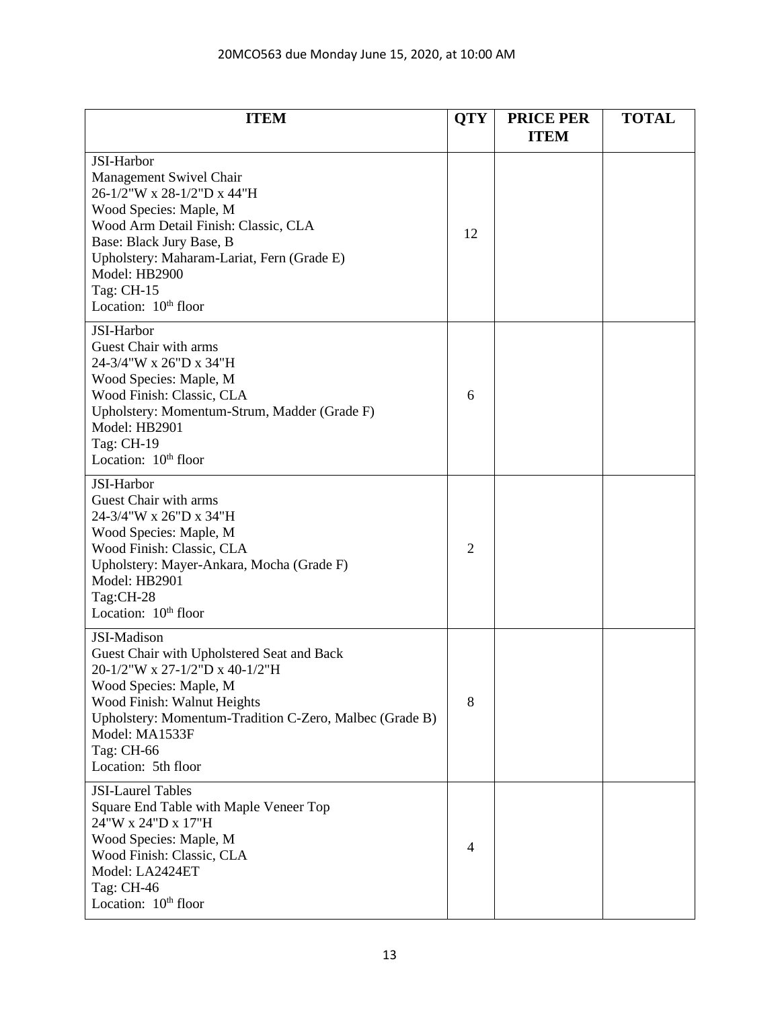| <b>ITEM</b>                                                                                                                                                                                                                                                                        | <b>QTY</b>     | <b>PRICE PER</b><br><b>ITEM</b> | <b>TOTAL</b> |
|------------------------------------------------------------------------------------------------------------------------------------------------------------------------------------------------------------------------------------------------------------------------------------|----------------|---------------------------------|--------------|
| JSI-Harbor<br>Management Swivel Chair<br>26-1/2"W x 28-1/2"D x 44"H<br>Wood Species: Maple, M<br>Wood Arm Detail Finish: Classic, CLA<br>Base: Black Jury Base, B<br>Upholstery: Maharam-Lariat, Fern (Grade E)<br>Model: HB2900<br>Tag: CH-15<br>Location: 10 <sup>th</sup> floor | 12             |                                 |              |
| JSI-Harbor<br>Guest Chair with arms<br>24-3/4"W x 26"D x 34"H<br>Wood Species: Maple, M<br>Wood Finish: Classic, CLA<br>Upholstery: Momentum-Strum, Madder (Grade F)<br>Model: HB2901<br>Tag: CH-19<br>Location: 10 <sup>th</sup> floor                                            | 6              |                                 |              |
| JSI-Harbor<br>Guest Chair with arms<br>24-3/4"W x 26"D x 34"H<br>Wood Species: Maple, M<br>Wood Finish: Classic, CLA<br>Upholstery: Mayer-Ankara, Mocha (Grade F)<br>Model: HB2901<br>Tag:CH-28<br>Location: 10 <sup>th</sup> floor                                                | $\overline{2}$ |                                 |              |
| JSI-Madison<br>Guest Chair with Upholstered Seat and Back<br>20-1/2"W x 27-1/2"D x 40-1/2"H<br>Wood Species: Maple, M<br>Wood Finish: Walnut Heights<br>Upholstery: Momentum-Tradition C-Zero, Malbec (Grade B)<br>Model: MA1533F<br>Tag: CH-66<br>Location: 5th floor             | 8              |                                 |              |
| <b>JSI-Laurel Tables</b><br>Square End Table with Maple Veneer Top<br>24"W x 24"D x 17"H<br>Wood Species: Maple, M<br>Wood Finish: Classic, CLA<br>Model: LA2424ET<br>Tag: CH-46<br>Location: 10 <sup>th</sup> floor                                                               | 4              |                                 |              |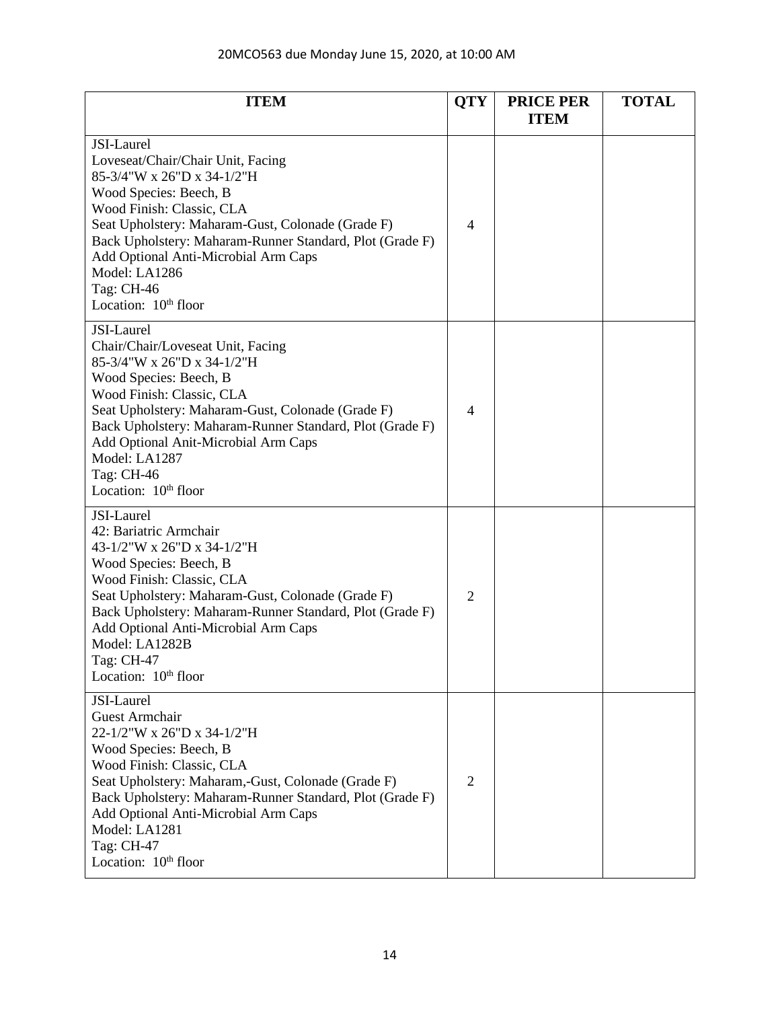| <b>ITEM</b>                                                                                                                                                                                                                                                                                                                                                      | <b>QTY</b>     | <b>PRICE PER</b><br><b>ITEM</b> | <b>TOTAL</b> |
|------------------------------------------------------------------------------------------------------------------------------------------------------------------------------------------------------------------------------------------------------------------------------------------------------------------------------------------------------------------|----------------|---------------------------------|--------------|
| JSI-Laurel<br>Loveseat/Chair/Chair Unit, Facing<br>85-3/4"W x 26"D x 34-1/2"H<br>Wood Species: Beech, B<br>Wood Finish: Classic, CLA<br>Seat Upholstery: Maharam-Gust, Colonade (Grade F)<br>Back Upholstery: Maharam-Runner Standard, Plot (Grade F)<br>Add Optional Anti-Microbial Arm Caps<br>Model: LA1286<br>Tag: CH-46<br>Location: $10th$ floor           | $\overline{4}$ |                                 |              |
| JSI-Laurel<br>Chair/Chair/Loveseat Unit, Facing<br>85-3/4"W x 26"D x 34-1/2"H<br>Wood Species: Beech, B<br>Wood Finish: Classic, CLA<br>Seat Upholstery: Maharam-Gust, Colonade (Grade F)<br>Back Upholstery: Maharam-Runner Standard, Plot (Grade F)<br>Add Optional Anit-Microbial Arm Caps<br>Model: LA1287<br>Tag: CH-46<br>Location: 10 <sup>th</sup> floor | $\overline{4}$ |                                 |              |
| JSI-Laurel<br>42: Bariatric Armchair<br>43-1/2"W x 26"D x 34-1/2"H<br>Wood Species: Beech, B<br>Wood Finish: Classic, CLA<br>Seat Upholstery: Maharam-Gust, Colonade (Grade F)<br>Back Upholstery: Maharam-Runner Standard, Plot (Grade F)<br>Add Optional Anti-Microbial Arm Caps<br>Model: LA1282B<br>Tag: CH-47<br>Location: $10th$ floor                     | $\overline{2}$ |                                 |              |
| JSI-Laurel<br><b>Guest Armchair</b><br>22-1/2"W x 26"D x 34-1/2"H<br>Wood Species: Beech, B<br>Wood Finish: Classic, CLA<br>Seat Upholstery: Maharam,-Gust, Colonade (Grade F)<br>Back Upholstery: Maharam-Runner Standard, Plot (Grade F)<br>Add Optional Anti-Microbial Arm Caps<br>Model: LA1281<br>Tag: CH-47<br>Location: $10th$ floor                      | $\overline{2}$ |                                 |              |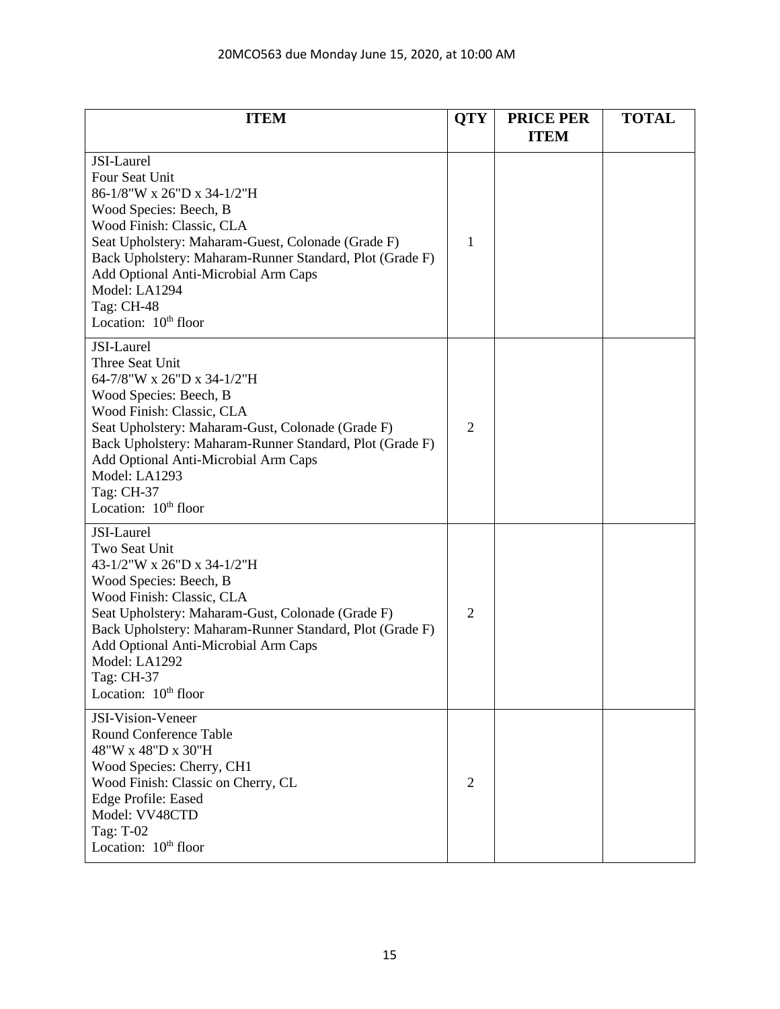| <b>ITEM</b>                                                                                                                                                                                                                                                                                                                                    | <b>QTY</b>     | <b>PRICE PER</b><br><b>ITEM</b> | <b>TOTAL</b> |
|------------------------------------------------------------------------------------------------------------------------------------------------------------------------------------------------------------------------------------------------------------------------------------------------------------------------------------------------|----------------|---------------------------------|--------------|
| JSI-Laurel<br><b>Four Seat Unit</b><br>86-1/8"W x 26"D x 34-1/2"H<br>Wood Species: Beech, B<br>Wood Finish: Classic, CLA<br>Seat Upholstery: Maharam-Guest, Colonade (Grade F)<br>Back Upholstery: Maharam-Runner Standard, Plot (Grade F)<br>Add Optional Anti-Microbial Arm Caps<br>Model: LA1294<br>Tag: CH-48<br>Location: $10th$ floor    | 1              |                                 |              |
| JSI-Laurel<br>Three Seat Unit<br>64-7/8"W x 26"D x 34-1/2"H<br>Wood Species: Beech, B<br>Wood Finish: Classic, CLA<br>Seat Upholstery: Maharam-Gust, Colonade (Grade F)<br>Back Upholstery: Maharam-Runner Standard, Plot (Grade F)<br>Add Optional Anti-Microbial Arm Caps<br>Model: LA1293<br>Tag: CH-37<br>Location: 10 <sup>th</sup> floor | $\overline{2}$ |                                 |              |
| JSI-Laurel<br>Two Seat Unit<br>43-1/2"W x 26"D x 34-1/2"H<br>Wood Species: Beech, B<br>Wood Finish: Classic, CLA<br>Seat Upholstery: Maharam-Gust, Colonade (Grade F)<br>Back Upholstery: Maharam-Runner Standard, Plot (Grade F)<br>Add Optional Anti-Microbial Arm Caps<br>Model: LA1292<br>Tag: CH-37<br>Location: 10 <sup>th</sup> floor   | $\overline{2}$ |                                 |              |
| JSI-Vision-Veneer<br><b>Round Conference Table</b><br>48"W x 48"D x 30"H<br>Wood Species: Cherry, CH1<br>Wood Finish: Classic on Cherry, CL<br><b>Edge Profile: Eased</b><br>Model: VV48CTD<br>Tag: T-02<br>Location: 10 <sup>th</sup> floor                                                                                                   | $\overline{2}$ |                                 |              |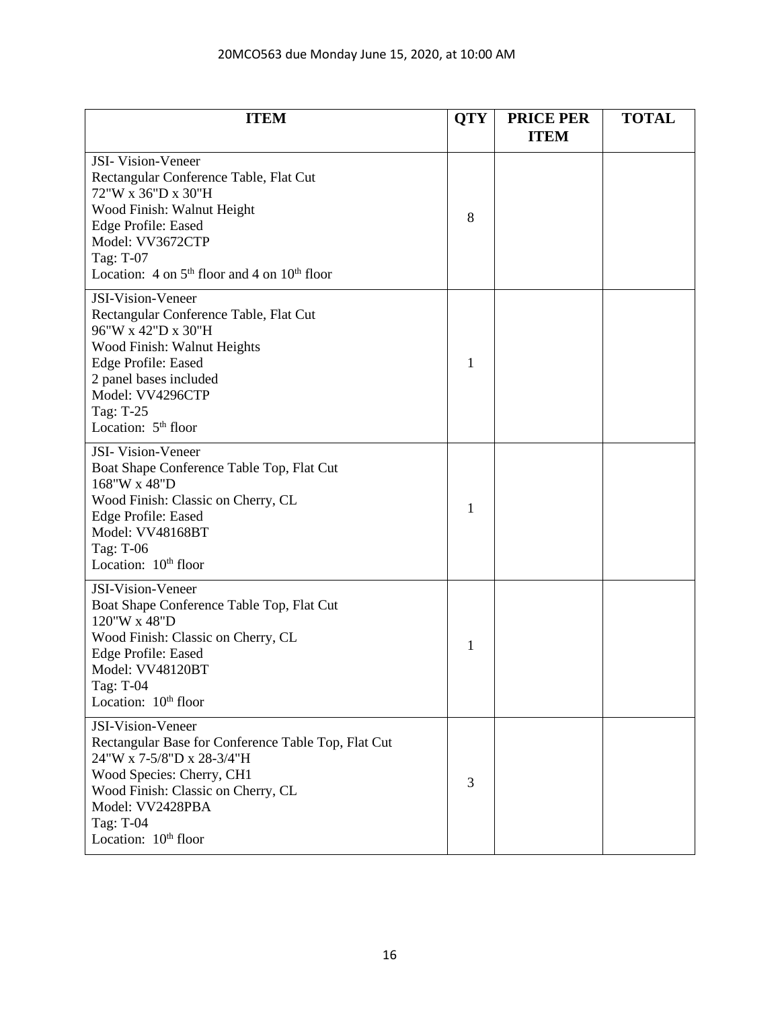# 20MCO563 due Monday June 15, 2020, at 10:00 AM

| <b>ITEM</b>                                                                                                                                                                                                                                                                      | <b>QTY</b> | <b>PRICE PER</b><br><b>ITEM</b> | <b>TOTAL</b> |
|----------------------------------------------------------------------------------------------------------------------------------------------------------------------------------------------------------------------------------------------------------------------------------|------------|---------------------------------|--------------|
| <b>JSI-</b> Vision-Veneer<br>Rectangular Conference Table, Flat Cut<br>72"W x 36"D x 30"H<br>Wood Finish: Walnut Height<br><b>Edge Profile: Eased</b><br>Model: VV3672CTP<br>Tag: T-07<br>Location: $4 \text{ on } 5^{\text{th}}$ floor and $4 \text{ on } 10^{\text{th}}$ floor | 8          |                                 |              |
| JSI-Vision-Veneer<br>Rectangular Conference Table, Flat Cut<br>96"W x 42"D x 30"H<br>Wood Finish: Walnut Heights<br><b>Edge Profile: Eased</b><br>2 panel bases included<br>Model: VV4296CTP<br>Tag: T-25<br>Location: $5th$ floor                                               | 1          |                                 |              |
| JSI-Vision-Veneer<br>Boat Shape Conference Table Top, Flat Cut<br>168"W x 48"D<br>Wood Finish: Classic on Cherry, CL<br><b>Edge Profile: Eased</b><br>Model: VV48168BT<br>Tag: T-06<br>Location: 10 <sup>th</sup> floor                                                          | 1          |                                 |              |
| JSI-Vision-Veneer<br>Boat Shape Conference Table Top, Flat Cut<br>120"W x 48"D<br>Wood Finish: Classic on Cherry, CL<br><b>Edge Profile: Eased</b><br>Model: VV48120BT<br>Tag: T-04<br>Location: 10 <sup>th</sup> floor                                                          | 1          |                                 |              |
| JSI-Vision-Veneer<br>Rectangular Base for Conference Table Top, Flat Cut<br>24"W x 7-5/8"D x 28-3/4"H<br>Wood Species: Cherry, CH1<br>Wood Finish: Classic on Cherry, CL<br>Model: VV2428PBA<br>Tag: T-04<br>Location: 10 <sup>th</sup> floor                                    | 3          |                                 |              |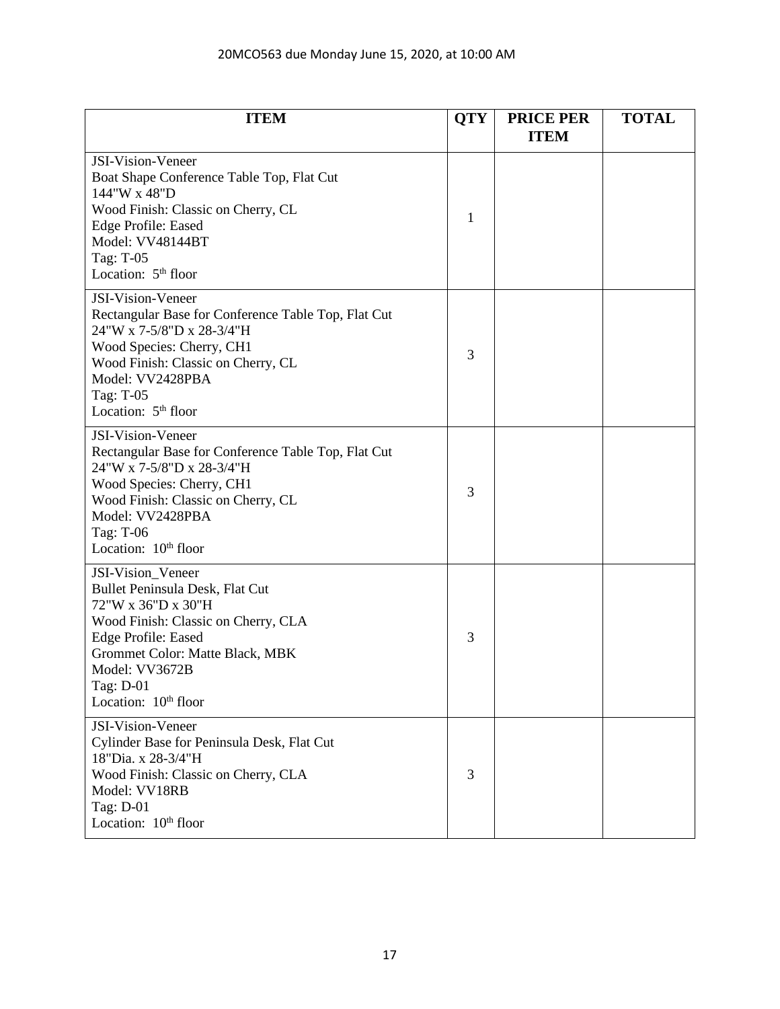# 20MCO563 due Monday June 15, 2020, at 10:00 AM

| <b>ITEM</b>                                                                                                                                                                                                                                    | <b>QTY</b> | <b>PRICE PER</b><br><b>ITEM</b> | <b>TOTAL</b> |
|------------------------------------------------------------------------------------------------------------------------------------------------------------------------------------------------------------------------------------------------|------------|---------------------------------|--------------|
| JSI-Vision-Veneer<br>Boat Shape Conference Table Top, Flat Cut<br>144"W x 48"D<br>Wood Finish: Classic on Cherry, CL<br><b>Edge Profile: Eased</b><br>Model: VV48144BT<br>Tag: T-05<br>Location: 5 <sup>th</sup> floor                         | 1          |                                 |              |
| JSI-Vision-Veneer<br>Rectangular Base for Conference Table Top, Flat Cut<br>24"W x 7-5/8"D x 28-3/4"H<br>Wood Species: Cherry, CH1<br>Wood Finish: Classic on Cherry, CL<br>Model: VV2428PBA<br>Tag: T-05<br>Location: $5th$ floor             | 3          |                                 |              |
| JSI-Vision-Veneer<br>Rectangular Base for Conference Table Top, Flat Cut<br>24"W x 7-5/8"D x 28-3/4"H<br>Wood Species: Cherry, CH1<br>Wood Finish: Classic on Cherry, CL<br>Model: VV2428PBA<br>Tag: T-06<br>Location: $10th$ floor            | 3          |                                 |              |
| JSI-Vision_Veneer<br>Bullet Peninsula Desk, Flat Cut<br>72"W x 36"D x 30"H<br>Wood Finish: Classic on Cherry, CLA<br>Edge Profile: Eased<br>Grommet Color: Matte Black, MBK<br>Model: VV3672B<br>Tag: D-01<br>Location: 10 <sup>th</sup> floor | 3          |                                 |              |
| JSI-Vision-Veneer<br>Cylinder Base for Peninsula Desk, Flat Cut<br>18"Dia. x 28-3/4"H<br>Wood Finish: Classic on Cherry, CLA<br>Model: VV18RB<br>Tag: D-01<br>Location: 10 <sup>th</sup> floor                                                 | 3          |                                 |              |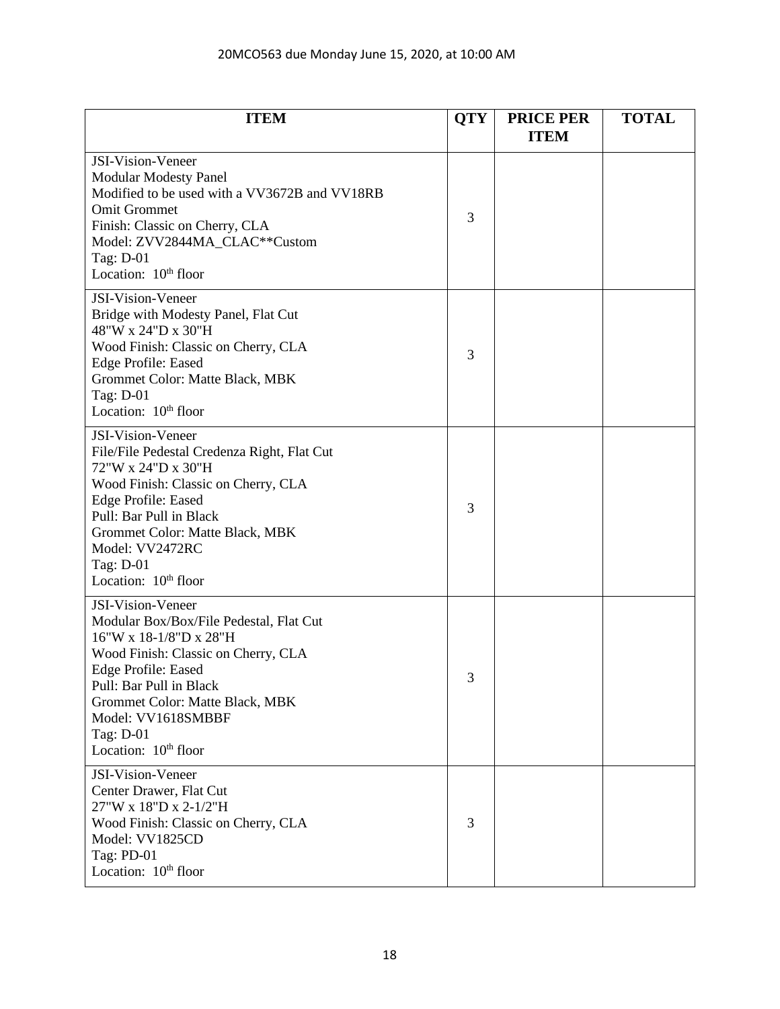| <b>ITEM</b>                                                                                                                                                                                                                                                                                             | <b>QTY</b> | <b>PRICE PER</b><br><b>ITEM</b> | <b>TOTAL</b> |
|---------------------------------------------------------------------------------------------------------------------------------------------------------------------------------------------------------------------------------------------------------------------------------------------------------|------------|---------------------------------|--------------|
| <b>JSI-Vision-Veneer</b><br><b>Modular Modesty Panel</b><br>Modified to be used with a VV3672B and VV18RB<br><b>Omit Grommet</b><br>Finish: Classic on Cherry, CLA<br>Model: ZVV2844MA_CLAC**Custom<br>Tag: D-01<br>Location: 10 <sup>th</sup> floor                                                    | 3          |                                 |              |
| JSI-Vision-Veneer<br>Bridge with Modesty Panel, Flat Cut<br>48"W x 24"D x 30"H<br>Wood Finish: Classic on Cherry, CLA<br><b>Edge Profile: Eased</b><br>Grommet Color: Matte Black, MBK<br>Tag: D-01<br>Location: 10 <sup>th</sup> floor                                                                 | 3          |                                 |              |
| JSI-Vision-Veneer<br>File/File Pedestal Credenza Right, Flat Cut<br>72"W x 24"D x 30"H<br>Wood Finish: Classic on Cherry, CLA<br><b>Edge Profile: Eased</b><br>Pull: Bar Pull in Black<br>Grommet Color: Matte Black, MBK<br>Model: VV2472RC<br>Tag: D-01<br>Location: 10 <sup>th</sup> floor           | 3          |                                 |              |
| <b>JSI-Vision-Veneer</b><br>Modular Box/Box/File Pedestal, Flat Cut<br>16"W x 18-1/8"D x 28"H<br>Wood Finish: Classic on Cherry, CLA<br><b>Edge Profile: Eased</b><br>Pull: Bar Pull in Black<br>Grommet Color: Matte Black, MBK<br>Model: VV1618SMBBF<br>Tag: D-01<br>Location: 10 <sup>th</sup> floor | 3          |                                 |              |
| JSI-Vision-Veneer<br>Center Drawer, Flat Cut<br>27"W x 18"D x 2-1/2"H<br>Wood Finish: Classic on Cherry, CLA<br>Model: VV1825CD<br>Tag: PD-01<br>Location: 10 <sup>th</sup> floor                                                                                                                       | 3          |                                 |              |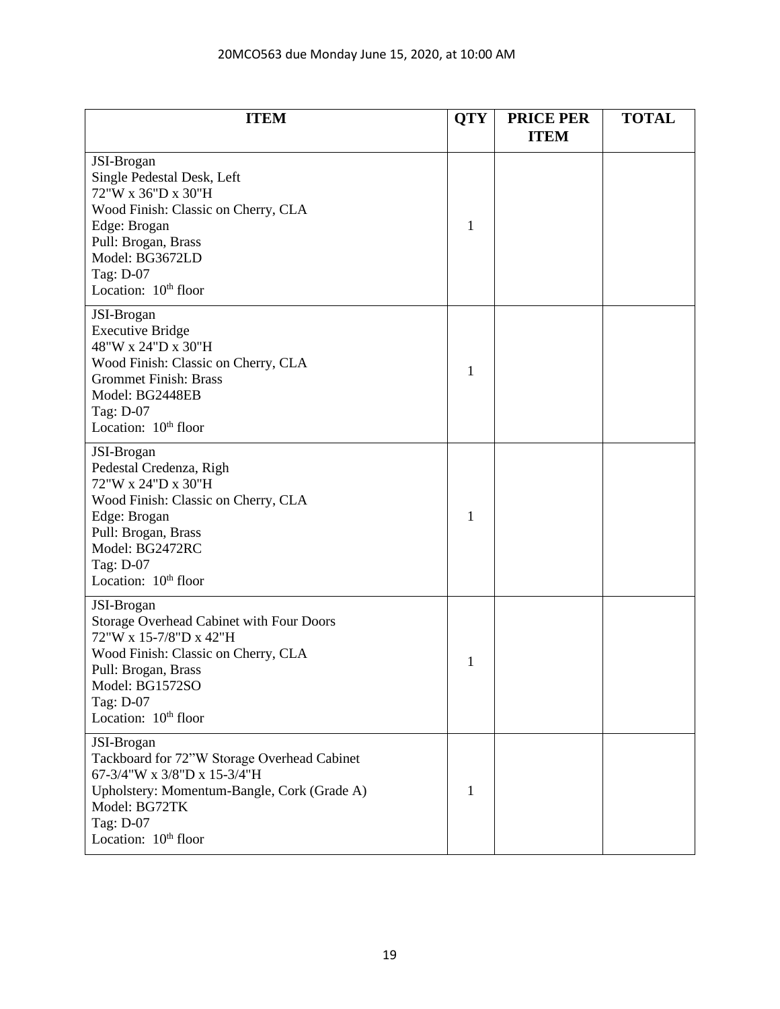| <b>ITEM</b>                                                                                                                                                                                                               | <b>QTY</b> | <b>PRICE PER</b><br><b>ITEM</b> | <b>TOTAL</b> |
|---------------------------------------------------------------------------------------------------------------------------------------------------------------------------------------------------------------------------|------------|---------------------------------|--------------|
| JSI-Brogan<br>Single Pedestal Desk, Left<br>72"W x 36"D x 30"H<br>Wood Finish: Classic on Cherry, CLA<br>Edge: Brogan<br>Pull: Brogan, Brass<br>Model: BG3672LD<br>Tag: D-07<br>Location: 10 <sup>th</sup> floor          | 1          |                                 |              |
| JSI-Brogan<br><b>Executive Bridge</b><br>48"W x 24"D x 30"H<br>Wood Finish: Classic on Cherry, CLA<br><b>Grommet Finish: Brass</b><br>Model: BG2448EB<br>Tag: D-07<br>Location: 10 <sup>th</sup> floor                    | 1          |                                 |              |
| JSI-Brogan<br>Pedestal Credenza, Righ<br>72"W x 24"D x 30"H<br>Wood Finish: Classic on Cherry, CLA<br>Edge: Brogan<br>Pull: Brogan, Brass<br>Model: BG2472RC<br>Tag: D-07<br>Location: 10 <sup>th</sup> floor             | 1          |                                 |              |
| JSI-Brogan<br><b>Storage Overhead Cabinet with Four Doors</b><br>72"W x 15-7/8"D x 42"H<br>Wood Finish: Classic on Cherry, CLA<br>Pull: Brogan, Brass<br>Model: BG1572SO<br>Tag: D-07<br>Location: 10 <sup>th</sup> floor | 1          |                                 |              |
| JSI-Brogan<br>Tackboard for 72"W Storage Overhead Cabinet<br>67-3/4"W x 3/8"D x 15-3/4"H<br>Upholstery: Momentum-Bangle, Cork (Grade A)<br>Model: BG72TK<br>Tag: D-07<br>Location: 10 <sup>th</sup> floor                 | 1          |                                 |              |